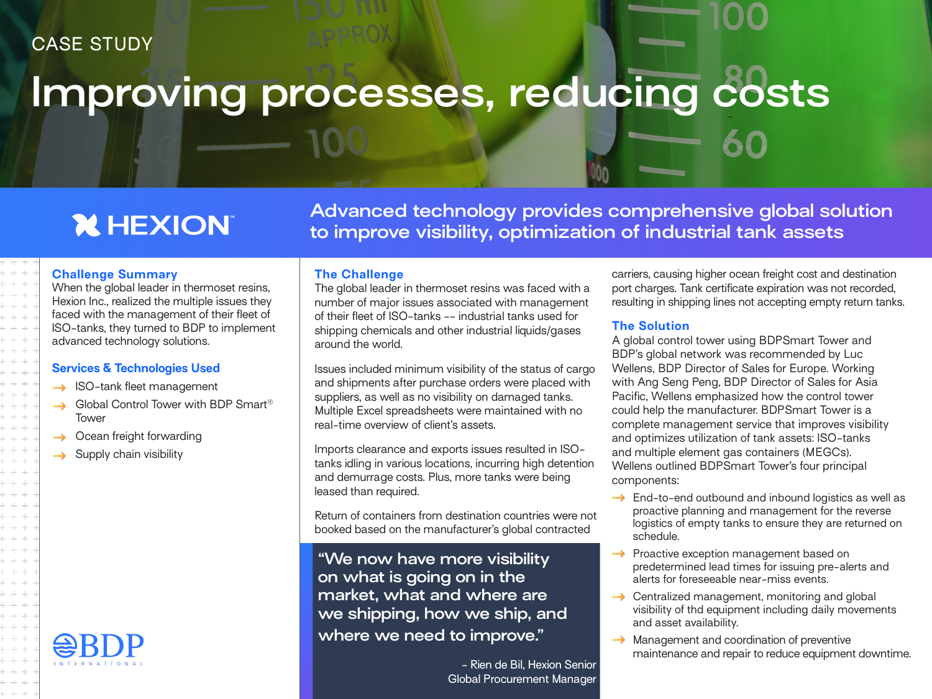### CASE STUDY

# **Improving processes, reducing costs**

## **X HEXION**

**Advanced technology provides comprehensive global solution to improve visibility, optimization of industrial tank assets**

#### **Challenge Summary**

When the global leader in thermoset resins. Hexion Inc., realized the multiple issues they faced with the management of their fleet of ISO-tanks, they turned to BDP to implement advanced technology solutions.

#### **Services & Technologies Used**

- $\rightarrow$  ISO-tank fleet management
- → Global Control Tower with BDP Smart<sup>®</sup> Tower
- Ocean freight forwarding  $\rightarrow$
- $\rightarrow$  Supply chain visibility



**The Challenge**

The global leader in thermoset resins was faced with a number of major issues associated with management of their fleet of ISO-tanks -- industrial tanks used for shipping chemicals and other industrial liquids/gases around the world.

Issues included minimum visibility of the status of cargo and shipments after purchase orders were placed with suppliers, as well as no visibility on damaged tanks. Multiple Excel spreadsheets were maintained with no real-time overview of client's assets.

Imports clearance and exports issues resulted in ISOtanks idling in various locations, incurring high detention and demurrage costs. Plus, more tanks were being leased than required.

Return of containers from destination countries were not booked based on the manufacturer's global contracted

**"We now have more visibility on what is going on in the market, what and where are we shipping, how we ship, and where we need to improve."**

> - Rien de Bil, Hexion Senior Global Procurement Manager

carriers, causing higher ocean freight cost and destination port charges. Tank certificate expiration was not recorded, resulting in shipping lines not accepting empty return tanks.

#### **The Solution**

A global control tower using BDPSmart Tower and BDP's global network was recommended by Luc Wellens, BDP Director of Sales for Europe. Working with Ang Seng Peng, BDP Director of Sales for Asia Pacific, Wellens emphasized how the control tower could help the manufacturer. BDPSmart Tower is a complete management service that improves visibility and optimizes utilization of tank assets: ISO-tanks and multiple element gas containers (MEGCs). Wellens outlined BDPSmart Tower's four principal components:

- $\rightarrow$  End-to-end outbound and inbound logistics as well as proactive planning and management for the reverse logistics of empty tanks to ensure they are returned on schedule.
- $\rightarrow$  Proactive exception management based on predetermined lead times for issuing pre-alerts and alerts for foreseeable near-miss events.
- Centralized management, monitoring and global visibility of thd equipment including daily movements and asset availability.
- $\rightarrow$  Management and coordination of preventive maintenance and repair to reduce equipment downtime.